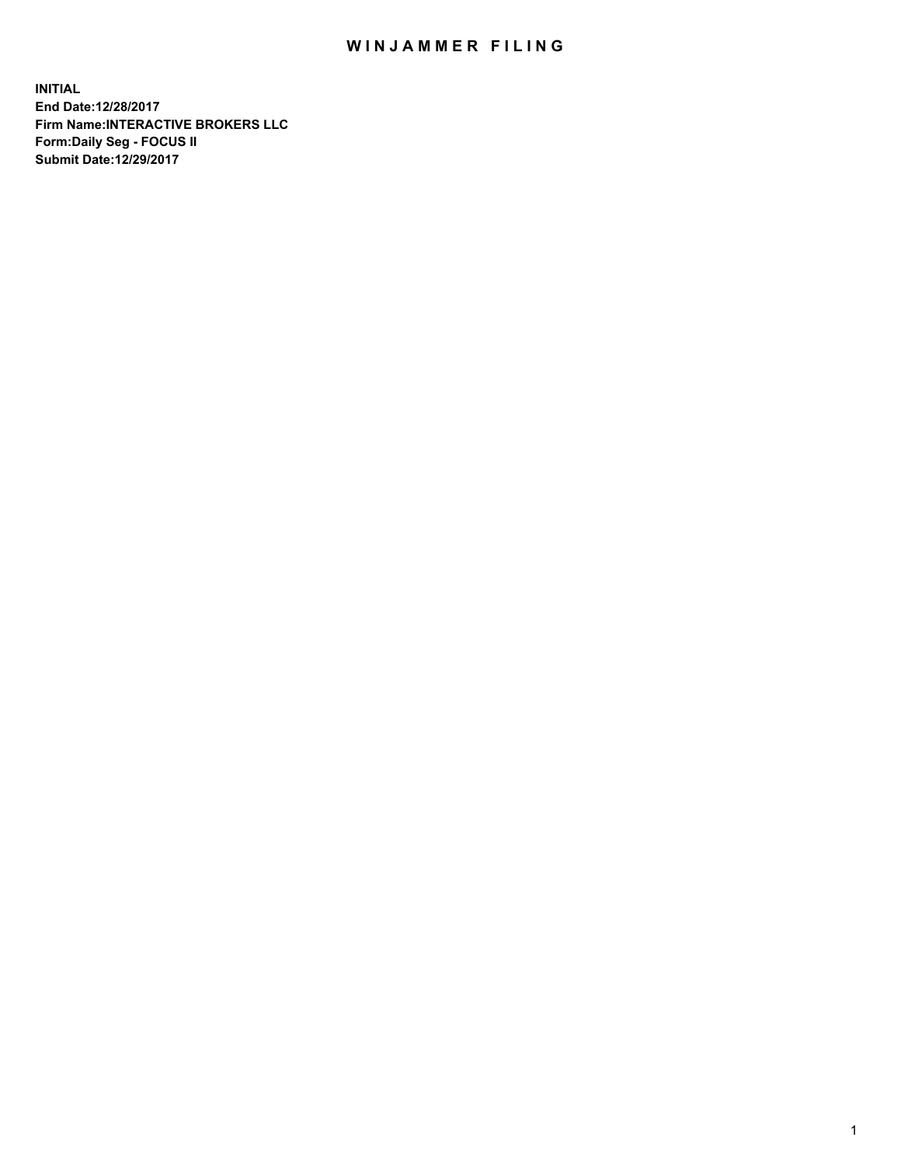## WIN JAMMER FILING

**INITIAL End Date:12/28/2017 Firm Name:INTERACTIVE BROKERS LLC Form:Daily Seg - FOCUS II Submit Date:12/29/2017**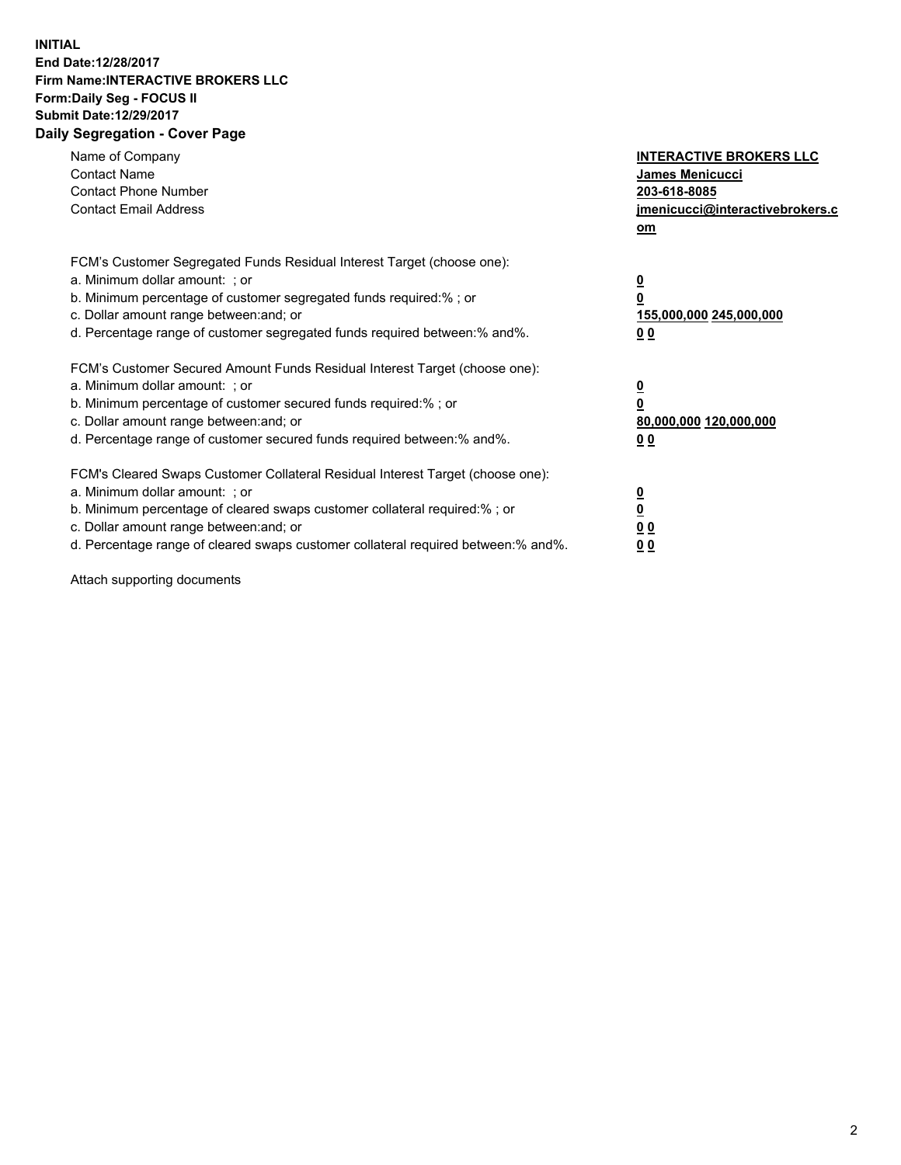## **INITIAL End Date:12/28/2017 Firm Name:INTERACTIVE BROKERS LLC Form:Daily Seg - FOCUS II Submit Date:12/29/2017 Daily Segregation - Cover Page**

| Name of Company<br><b>Contact Name</b><br><b>Contact Phone Number</b><br><b>Contact Email Address</b>                                                                                                                                                                                                                          | <b>INTERACTIVE BROKERS LLC</b><br><b>James Menicucci</b><br>203-618-8085<br>jmenicucci@interactivebrokers.c<br>om |
|--------------------------------------------------------------------------------------------------------------------------------------------------------------------------------------------------------------------------------------------------------------------------------------------------------------------------------|-------------------------------------------------------------------------------------------------------------------|
| FCM's Customer Segregated Funds Residual Interest Target (choose one):<br>a. Minimum dollar amount: ; or<br>b. Minimum percentage of customer segregated funds required:%; or<br>c. Dollar amount range between: and; or<br>d. Percentage range of customer segregated funds required between:% and%.                          | $\overline{\mathbf{0}}$<br>0<br>155,000,000 245,000,000<br>00                                                     |
| FCM's Customer Secured Amount Funds Residual Interest Target (choose one):<br>a. Minimum dollar amount: ; or<br>b. Minimum percentage of customer secured funds required:%; or<br>c. Dollar amount range between: and; or<br>d. Percentage range of customer secured funds required between: % and %.                          | $\overline{\mathbf{0}}$<br>0<br>80,000,000 120,000,000<br>0 <sub>0</sub>                                          |
| FCM's Cleared Swaps Customer Collateral Residual Interest Target (choose one):<br>a. Minimum dollar amount: ; or<br>b. Minimum percentage of cleared swaps customer collateral required:% ; or<br>c. Dollar amount range between: and; or<br>d. Percentage range of cleared swaps customer collateral required between:% and%. | $\overline{\mathbf{0}}$<br>$\overline{\mathbf{0}}$<br>0 <sub>0</sub><br><u>00</u>                                 |

Attach supporting documents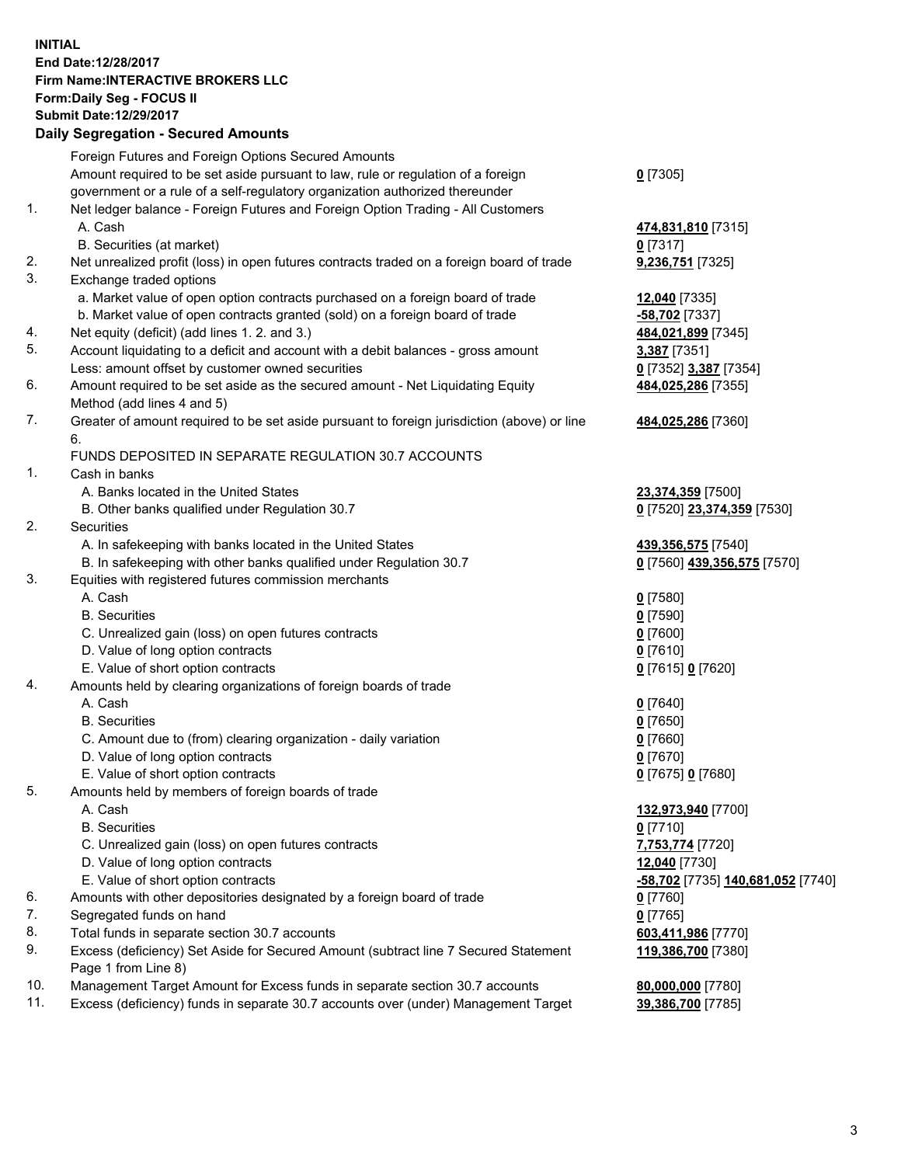## **INITIAL End Date:12/28/2017 Firm Name:INTERACTIVE BROKERS LLC Form:Daily Seg - FOCUS II Submit Date:12/29/2017**

|     | <b>Daily Segregation - Secured Amounts</b>                                                                                                                        |                                        |
|-----|-------------------------------------------------------------------------------------------------------------------------------------------------------------------|----------------------------------------|
|     | Foreign Futures and Foreign Options Secured Amounts                                                                                                               |                                        |
|     | Amount required to be set aside pursuant to law, rule or regulation of a foreign                                                                                  | $0$ [7305]                             |
|     | government or a rule of a self-regulatory organization authorized thereunder                                                                                      |                                        |
| 1.  | Net ledger balance - Foreign Futures and Foreign Option Trading - All Customers                                                                                   |                                        |
|     | A. Cash                                                                                                                                                           | 474,831,810 [7315]                     |
|     | B. Securities (at market)                                                                                                                                         | $0$ [7317]                             |
| 2.  | Net unrealized profit (loss) in open futures contracts traded on a foreign board of trade                                                                         | 9,236,751 [7325]                       |
| 3.  | Exchange traded options                                                                                                                                           |                                        |
|     | a. Market value of open option contracts purchased on a foreign board of trade                                                                                    | 12,040 [7335]                          |
|     | b. Market value of open contracts granted (sold) on a foreign board of trade                                                                                      | -58,702 [7337]                         |
| 4.  | Net equity (deficit) (add lines 1. 2. and 3.)                                                                                                                     | 484,021,899 [7345]                     |
| 5.  | Account liquidating to a deficit and account with a debit balances - gross amount                                                                                 | 3,387 [7351]                           |
|     | Less: amount offset by customer owned securities                                                                                                                  | 0 [7352] 3,387 [7354]                  |
| 6.  | Amount required to be set aside as the secured amount - Net Liquidating Equity                                                                                    | 484,025,286 [7355]                     |
|     | Method (add lines 4 and 5)                                                                                                                                        |                                        |
| 7.  | Greater of amount required to be set aside pursuant to foreign jurisdiction (above) or line                                                                       | 484,025,286 [7360]                     |
|     | 6.                                                                                                                                                                |                                        |
|     | FUNDS DEPOSITED IN SEPARATE REGULATION 30.7 ACCOUNTS                                                                                                              |                                        |
| 1.  | Cash in banks                                                                                                                                                     |                                        |
|     | A. Banks located in the United States                                                                                                                             | 23,374,359 [7500]                      |
| 2.  | B. Other banks qualified under Regulation 30.7<br>Securities                                                                                                      | 0 [7520] 23,374,359 [7530]             |
|     | A. In safekeeping with banks located in the United States                                                                                                         | 439,356,575 [7540]                     |
|     | B. In safekeeping with other banks qualified under Regulation 30.7                                                                                                | 0 [7560] 439,356,575 [7570]            |
| 3.  | Equities with registered futures commission merchants                                                                                                             |                                        |
|     | A. Cash                                                                                                                                                           | $0$ [7580]                             |
|     | <b>B.</b> Securities                                                                                                                                              | $0$ [7590]                             |
|     | C. Unrealized gain (loss) on open futures contracts                                                                                                               | $0$ [7600]                             |
|     | D. Value of long option contracts                                                                                                                                 | $0$ [7610]                             |
|     | E. Value of short option contracts                                                                                                                                | 0 [7615] 0 [7620]                      |
| 4.  | Amounts held by clearing organizations of foreign boards of trade                                                                                                 |                                        |
|     | A. Cash                                                                                                                                                           | $0$ [7640]                             |
|     | <b>B.</b> Securities                                                                                                                                              | $0$ [7650]                             |
|     | C. Amount due to (from) clearing organization - daily variation                                                                                                   | $0$ [7660]                             |
|     | D. Value of long option contracts                                                                                                                                 | $0$ [7670]                             |
|     | E. Value of short option contracts                                                                                                                                | 0 [7675] 0 [7680]                      |
| 5.  | Amounts held by members of foreign boards of trade                                                                                                                |                                        |
|     | A. Cash                                                                                                                                                           | 132,973,940 [7700]                     |
|     | <b>B.</b> Securities                                                                                                                                              | $0$ [7710]                             |
|     | C. Unrealized gain (loss) on open futures contracts                                                                                                               | 7,753,774 [7720]                       |
|     | D. Value of long option contracts                                                                                                                                 | 12,040 [7730]                          |
|     | E. Value of short option contracts                                                                                                                                | -58,702 [7735] 140,681,052 [7740]      |
| 6.  | Amounts with other depositories designated by a foreign board of trade                                                                                            | 0 [7760]                               |
| 7.  | Segregated funds on hand                                                                                                                                          | $0$ [7765]                             |
| 8.  | Total funds in separate section 30.7 accounts                                                                                                                     | 603,411,986 [7770]                     |
| 9.  | Excess (deficiency) Set Aside for Secured Amount (subtract line 7 Secured Statement                                                                               | 119,386,700 [7380]                     |
| 10. | Page 1 from Line 8)                                                                                                                                               |                                        |
| 11. | Management Target Amount for Excess funds in separate section 30.7 accounts<br>Excess (deficiency) funds in separate 30.7 accounts over (under) Management Target | 80,000,000 [7780]<br>39,386,700 [7785] |
|     |                                                                                                                                                                   |                                        |
|     |                                                                                                                                                                   |                                        |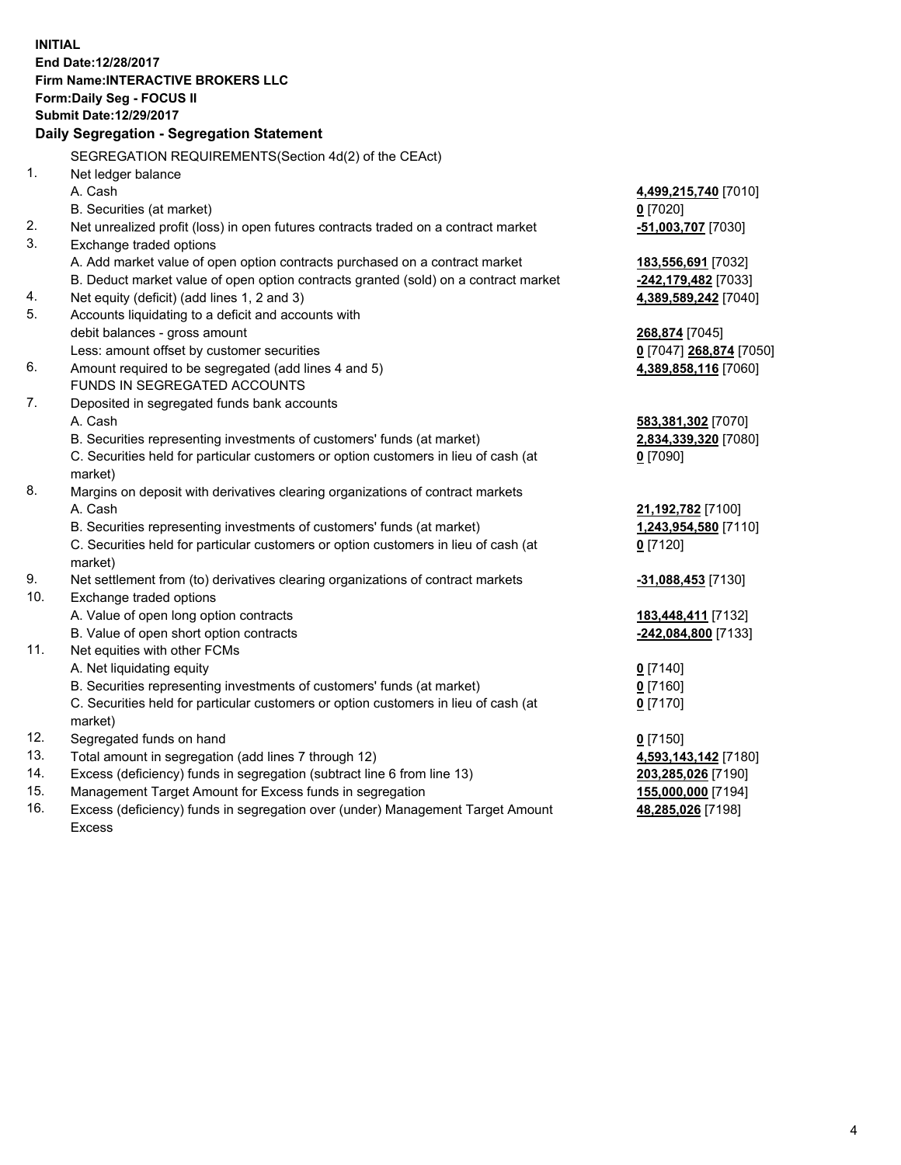**INITIAL End Date:12/28/2017 Firm Name:INTERACTIVE BROKERS LLC Form:Daily Seg - FOCUS II Submit Date:12/29/2017 Daily Segregation - Segregation Statement** SEGREGATION REQUIREMENTS(Section 4d(2) of the CEAct) 1. Net ledger balance A. Cash **4,499,215,740** [7010] B. Securities (at market) **0** [7020] 2. Net unrealized profit (loss) in open futures contracts traded on a contract market **-51,003,707** [7030] 3. Exchange traded options A. Add market value of open option contracts purchased on a contract market **183,556,691** [7032] B. Deduct market value of open option contracts granted (sold) on a contract market **-242,179,482** [7033] 4. Net equity (deficit) (add lines 1, 2 and 3) **4,389,589,242** [7040] 5. Accounts liquidating to a deficit and accounts with debit balances - gross amount **268,874** [7045] Less: amount offset by customer securities **0** [7047] **268,874** [7050] 6. Amount required to be segregated (add lines 4 and 5) **4,389,858,116** [7060] FUNDS IN SEGREGATED ACCOUNTS 7. Deposited in segregated funds bank accounts A. Cash **583,381,302** [7070] B. Securities representing investments of customers' funds (at market) **2,834,339,320** [7080] C. Securities held for particular customers or option customers in lieu of cash (at market) **0** [7090] 8. Margins on deposit with derivatives clearing organizations of contract markets A. Cash **21,192,782** [7100] B. Securities representing investments of customers' funds (at market) **1,243,954,580** [7110] C. Securities held for particular customers or option customers in lieu of cash (at market) **0** [7120] 9. Net settlement from (to) derivatives clearing organizations of contract markets **-31,088,453** [7130] 10. Exchange traded options A. Value of open long option contracts **183,448,411** [7132] B. Value of open short option contracts **-242,084,800** [7133] 11. Net equities with other FCMs A. Net liquidating equity **0** [7140] B. Securities representing investments of customers' funds (at market) **0** [7160] C. Securities held for particular customers or option customers in lieu of cash (at market) **0** [7170] 12. Segregated funds on hand **0** [7150] 13. Total amount in segregation (add lines 7 through 12) **4,593,143,142** [7180] 14. Excess (deficiency) funds in segregation (subtract line 6 from line 13) **203,285,026** [7190] 15. Management Target Amount for Excess funds in segregation **155,000,000** [7194]

16. Excess (deficiency) funds in segregation over (under) Management Target Amount Excess

**48,285,026** [7198]